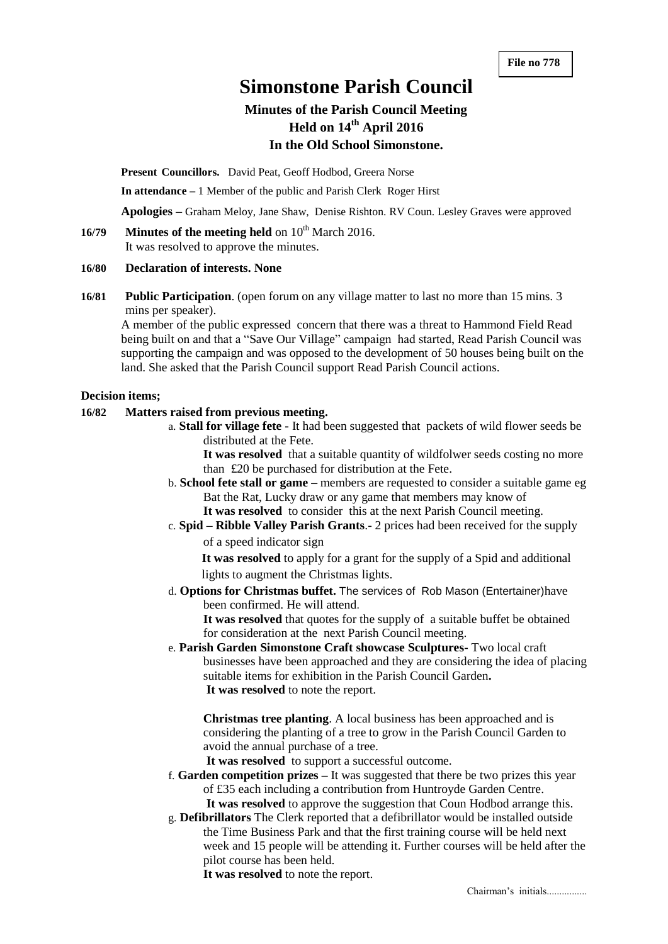# **Simonstone Parish Council**

# **Minutes of the Parish Council Meeting Held on 14 th April 2016 In the Old School Simonstone.**

**Present Councillors.** David Peat, Geoff Hodbod, Greera Norse

**In attendance –** 1 Member of the public and Parish Clerk Roger Hirst

**Apologies –** Graham Meloy, Jane Shaw, Denise Rishton. RV Coun. Lesley Graves were approved

16/79 **Minutes of the meeting held** on 10<sup>th</sup> March 2016. It was resolved to approve the minutes.

#### **16/80 Declaration of interests. None**

**16/81 Public Participation**. (open forum on any village matter to last no more than 15 mins. 3 mins per speaker).

A member of the public expressed concern that there was a threat to Hammond Field Read being built on and that a "Save Our Village" campaign had started, Read Parish Council was supporting the campaign and was opposed to the development of 50 houses being built on the land. She asked that the Parish Council support Read Parish Council actions.

#### **Decision items;**

# **16/82 Matters raised from previous meeting.**

a. **Stall for village fete -** It had been suggested that packets of wild flower seeds be distributed at the Fete.

**It was resolved** that a suitable quantity of wildfolwer seeds costing no more than £20 be purchased for distribution at the Fete.

- b. **School fete stall or game –** members are requested to consider a suitable game eg Bat the Rat, Lucky draw or any game that members may know of **It was resolved** to consider this at the next Parish Council meeting.
- c. **Spid – Ribble Valley Parish Grants**.- 2 prices had been received for the supply of a speed indicator sign

**It was resolved** to apply for a grant for the supply of a Spid and additional lights to augment the Christmas lights.

d. **Options for Christmas buffet.** The services of Rob Mason (Entertainer)have been confirmed. He will attend.

**It was resolved** that quotes for the supply of a suitable buffet be obtained for consideration at the next Parish Council meeting.

e. **Parish Garden Simonstone Craft showcase Sculptures-** Two local craft businesses have been approached and they are considering the idea of placing suitable items for exhibition in the Parish Council Garden**. It was resolved** to note the report.

**Christmas tree planting**. A local business has been approached and is considering the planting of a tree to grow in the Parish Council Garden to avoid the annual purchase of a tree.

**It was resolved** to support a successful outcome.

f. **Garden competition prizes –** It was suggested that there be two prizes this year of £35 each including a contribution from Huntroyde Garden Centre. **It was resolved** to approve the suggestion that Coun Hodbod arrange this.

g. **Defibrillators** The Clerk reported that a defibrillator would be installed outside the Time Business Park and that the first training course will be held next

week and 15 people will be attending it. Further courses will be held after the pilot course has been held.

**It was resolved** to note the report.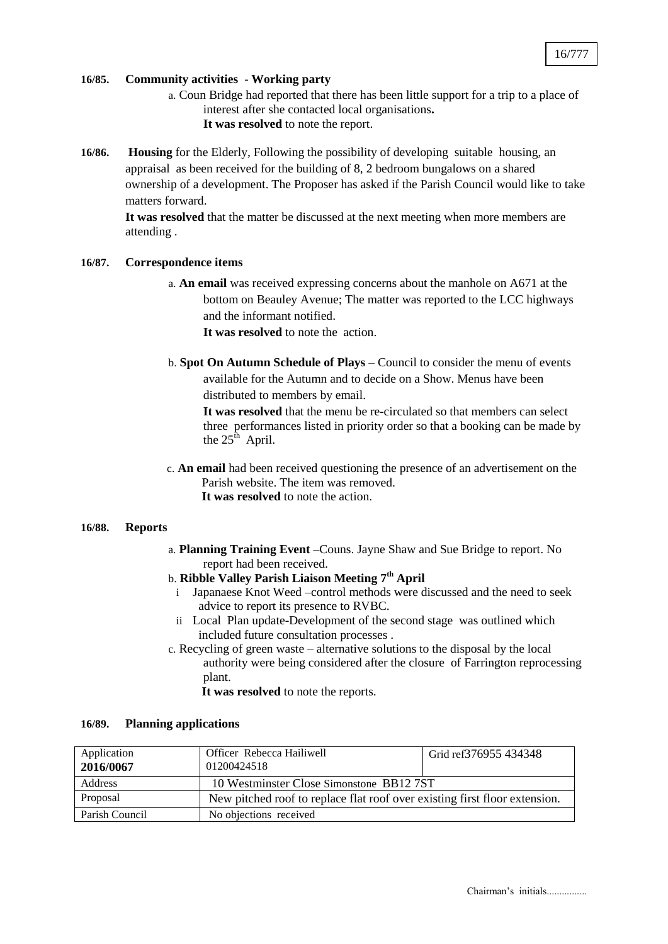### **16/85. Community activities** - **Working party**

- a. Coun Bridge had reported that there has been little support for a trip to a place of interest after she contacted local organisations**. It was resolved** to note the report.
- **16/86. Housing** for the Elderly, Following the possibility of developing suitable housing, an appraisal as been received for the building of 8, 2 bedroom bungalows on a shared ownership of a development. The Proposer has asked if the Parish Council would like to take matters forward.

**It was resolved** that the matter be discussed at the next meeting when more members are attending .

#### **16/87. Correspondence items**

a. **An email** was received expressing concerns about the manhole on A671 at the bottom on Beauley Avenue; The matter was reported to the LCC highways and the informant notified.

**It was resolved** to note the action.

b. **Spot On Autumn Schedule of Plays** – Council to consider the menu of events available for the Autumn and to decide on a Show. Menus have been distributed to members by email.

**It was resolved** that the menu be re-circulated so that members can select three performances listed in priority order so that a booking can be made by the  $25^{\text{th}}$  April.

c. **An email** had been received questioning the presence of an advertisement on the Parish website. The item was removed. **It was resolved** to note the action.

#### **16/88. Reports**

- a. **Planning Training Event** –Couns. Jayne Shaw and Sue Bridge to report. No report had been received.
- b. **Ribble Valley Parish Liaison Meeting 7th April** 
	- i Japanaese Knot Weed –control methods were discussed and the need to seek advice to report its presence to RVBC.
	- ii Local Plan update-Development of the second stage was outlined which included future consultation processes .
- c. Recycling of green waste alternative solutions to the disposal by the local authority were being considered after the closure of Farrington reprocessing plant.

**It was resolved** to note the reports.

| Application<br>2016/0067 | Officer Rebecca Hailiwell<br>01200424518                                   | Grid ref376955 434348 |  |
|--------------------------|----------------------------------------------------------------------------|-----------------------|--|
| Address                  | 10 Westminster Close Simonstone BB12 7ST                                   |                       |  |
| Proposal                 | New pitched roof to replace flat roof over existing first floor extension. |                       |  |
| Parish Council           | No objections received                                                     |                       |  |

#### **16/89. Planning applications**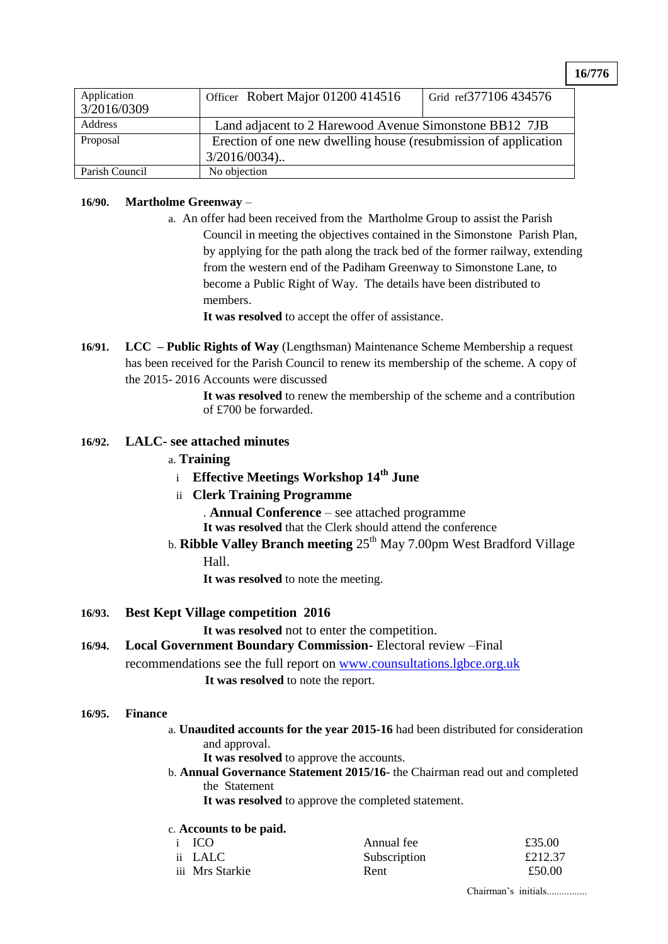**16/776**

| Application<br>3/2016/0309 | Officer Robert Major 01200 414516                               | Grid ref377106 434576 |  |
|----------------------------|-----------------------------------------------------------------|-----------------------|--|
| Address                    | Land adjacent to 2 Harewood Avenue Simonstone BB12 7JB          |                       |  |
| Proposal                   | Erection of one new dwelling house (resubmission of application |                       |  |
|                            | $3/2016/0034$ )                                                 |                       |  |
| Parish Council             | No objection                                                    |                       |  |

### **16/90. Martholme Greenway** –

a. An offer had been received from the Martholme Group to assist the Parish Council in meeting the objectives contained in the Simonstone Parish Plan, by applying for the path along the track bed of the former railway, extending from the western end of the Padiham Greenway to Simonstone Lane, to become a Public Right of Way. The details have been distributed to members.

**It was resolved** to accept the offer of assistance.

**16/91. LCC – Public Rights of Way** (Lengthsman) Maintenance Scheme Membership a request has been received for the Parish Council to renew its membership of the scheme. A copy of the 2015- 2016 Accounts were discussed

> **It was resolved** to renew the membership of the scheme and a contribution of £700 be forwarded.

#### **16/92. LALC- see attached minutes**

#### a. **Training**

<sup>i</sup> **Effective Meetings Workshop 14th June**

# ii **Clerk Training Programme**

. **Annual Conference** – see attached programme

**It was resolved** that the Clerk should attend the conference

b. **Ribble Valley Branch meeting**  $25<sup>th</sup>$  May 7.00pm West Bradford Village

### Hall.

**It was resolved** to note the meeting.

#### **16/93. Best Kept Village competition 2016**

**It was resolved** not to enter the competition.

# **16/94. Local Government Boundary Commission-** Electoral review –Final

recommendations see the full report on [www.counsultations.lgbce.org.uk](http://www.counsultations.lgbce.org.uk/)

**It was resolved** to note the report.

#### **16/95. Finance**

- a. **Unaudited accounts for the year 2015-16** had been distributed for consideration and approval.
	- It was resolved to approve the accounts.
- b. **Annual Governance Statement 2015/16-** the Chairman read out and completed the Statement

**It was resolved** to approve the completed statement.

# c. **Accounts to be paid.**

| i ICO           | Annual fee   | £35.00  |
|-----------------|--------------|---------|
| ii LALC         | Subscription | £212.37 |
| iii Mrs Starkie | Rent         | £50.00  |